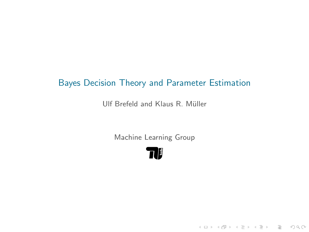# Bayes Decision Theory and Parameter Estimation

Ulf Brefeld and Klaus R. Müller

Machine Learning Group

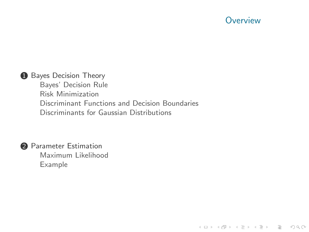### **Overview**

K ロ > K 레 > K 코 > K 코 > 트로드 > O Q O

#### **1** [Bayes Decision Theory](#page-2-0)

[Bayes' Decision Rule](#page-2-0) [Risk Minimization](#page-9-0) [Discriminant Functions and Decision Boundaries](#page-11-0) [Discriminants for Gaussian Distributions](#page-11-0)



#### **2** [Parameter Estimation](#page-16-0)

[Maximum Likelihood](#page-20-0) [Example](#page-22-0)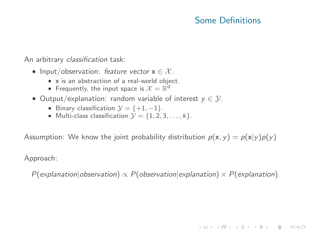## Some Definitions

**A DIA K FRANCIS E L'ARCHEST EN SOLO** 

An arbitrary classification task:

- Input/observation: feature vector  $x \in \mathcal{X}$ .
	- x is an abstraction of a real-world object.
	- Frequently, the input space is  $\mathcal{X} = \mathbb{R}^d$
- Output/explanation: random variable of interest  $y \in \mathcal{Y}$ .
	- Binary classification  $\mathcal{Y} = \{+1, -1\}$ .
	- Multi-class classification  $\mathcal{Y} = \{1, 2, 3, \ldots, k\}.$

Assumption: We know the joint probability distribution  $p(x, y) = p(x|y)p(y)$ 

Approach:

<span id="page-2-0"></span> $P(\alpha)$  explanation|observation)  $\propto P(\alpha)$  observation|explanation)  $\times P(\alpha)$  explanation]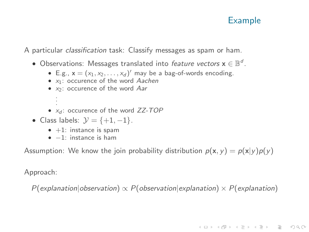# Example

**A DIA K FRANCIS E L'ARCHEST EN SOLO** 

A particular classification task: Classify messages as spam or ham.

- $\bullet$  Observations: Messages translated into *feature vectors*  $\mathbf{x} \in \mathbb{B}^d$ .
	- E.g.,  $\mathbf{x} = (x_1, x_2, \dots, x_d)'$  may be a bag-of-words encoding.
	- $x_1$ : occurence of the word Aachen
	- x2: occurence of the word Aar
	- . •  $x_d$ : occurence of the word  $ZZ$ -TOP
- Class labels:  $\mathcal{Y} = \{+1, -1\}.$ 
	- $\bullet$  +1: instance is spam
	- $\bullet$   $-1$ : instance is ham

Assumption: We know the join probability distribution  $p(x, y) = p(x|y)p(y)$ 

Approach:

. .

 $P(\text{explanation}|\text{observation}) \propto P(\text{observation}|\text{explanation}) \times P(\text{explanation})$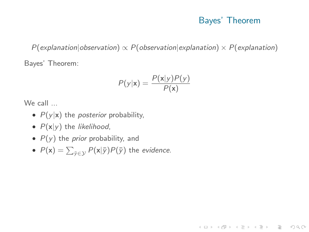### Bayes' Theorem

**KED KARD KED KED E VOOR** 

 $P(\alpha)$  explanation|observation)  $\propto P(\alpha)$  observation|explanation)  $\times P(\alpha)$  explanation] Bayes' Theorem:

$$
P(y|\mathbf{x}) = \frac{P(\mathbf{x}|y)P(y)}{P(\mathbf{x})}
$$

We call ...

- $P(y|x)$  the *posterior* probability,
- $P(x|y)$  the likelihood,
- $P(y)$  the *prior* probability, and
- $\bullet$   $P(\mathsf{x}) = \sum_{\bar{\mathsf{y}} \in \mathcal{Y}} P(\mathsf{x}|\bar{\mathsf{y}}) P(\bar{\mathsf{y}})$  the *evidence*.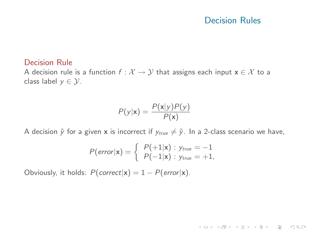### Decision Rules

 $A \cup B \rightarrow A \overline{B} \rightarrow A \overline{B} \rightarrow A \overline{B} \rightarrow \overline{B} \rightarrow \overline{B} \rightarrow \overline{B} \rightarrow \overline{B} \rightarrow \overline{B} \rightarrow \overline{B} \rightarrow \overline{B} \rightarrow \overline{B} \rightarrow \overline{B} \rightarrow \overline{B} \rightarrow \overline{B} \rightarrow \overline{B} \rightarrow \overline{B} \rightarrow \overline{B} \rightarrow \overline{B} \rightarrow \overline{B} \rightarrow \overline{B} \rightarrow \overline{B} \rightarrow \overline{B} \rightarrow \overline{B} \rightarrow \overline{B} \rightarrow \overline{B} \rightarrow \overline{B} \rightarrow \overline$ 

#### Decision Rule

A decision rule is a function  $f: \mathcal{X} \to \mathcal{Y}$  that assigns each input  $\mathbf{x} \in \mathcal{X}$  to a class label  $y \in \mathcal{Y}$ .

$$
P(y|\mathbf{x}) = \frac{P(\mathbf{x}|y)P(y)}{P(\mathbf{x})}
$$

A decision  $\hat{y}$  for a given **x** is incorrect if  $y_{true} \neq \hat{y}$ . In a 2-class scenario we have,

$$
P(\text{error}|\mathbf{x}) = \left\{\begin{array}{l} P(+1|\mathbf{x}) : y_{\text{true}} = -1 \\ P(-1|\mathbf{x}) : y_{\text{true}} = +1, \end{array}\right.
$$

Obviously, it holds:  $P(correct|\mathbf{x}) = 1 - P(error|\mathbf{x})$ .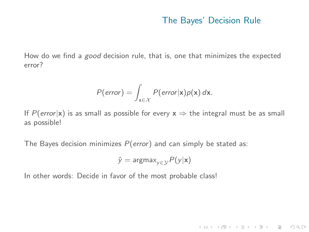#### The Bayes' Decision Rule

K ロ > K 레 > K 코 > K 코 > 트로드 > O Q O

How do we find a good decision rule, that is, one that minimizes the expected error?

$$
P(\text{error}) = \int_{\mathbf{x} \in \mathcal{X}} P(\text{error}|\mathbf{x}) p(\mathbf{x}) \, d\mathbf{x}.
$$

If P(error|x) is as small as possible for every  $x \Rightarrow$  the integral must be as small as possible!

The Bayes decision minimizes  $P(error)$  and can simply be stated as:

$$
\hat{y} = \text{argmax}_{y \in \mathcal{Y}} P(y|\mathbf{x})
$$

In other words: Decide in favor of the most probable class!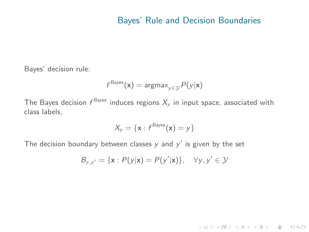### Bayes' Rule and Decision Boundaries

Bayes' decision rule:

$$
f^{Bayes}(\mathbf{x}) = \text{argmax}_{y \in \mathcal{Y}} P(y|\mathbf{x})
$$

The Bayes decision  $f^\mathit{Bayes}$  induces regions  $X_\mathit{y}$  in input space, associated with class labels,

$$
X_{y} = \{ \mathbf{x} : f^{Bayes}(\mathbf{x}) = y \}
$$

The decision boundary between classes  $y$  and  $y'$  is given by the set

$$
B_{y,y'} = \{\mathbf{x} : P(y|\mathbf{x}) = P(y'|\mathbf{x})\}, \quad \forall y, y' \in \mathcal{Y}
$$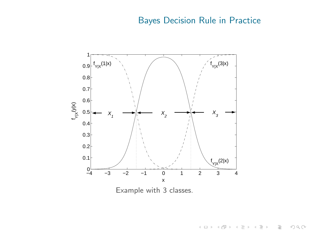# Bayes Decision Rule in Practice



Example with 3 classes.

イロト イ部 トイモト イモト  $\equiv$  $\begin{picture}(160,170) \put(0,0){\line(1,0){10}} \put(10,0){\line(1,0){10}} \put(10,0){\line(1,0){10}} \put(10,0){\line(1,0){10}} \put(10,0){\line(1,0){10}} \put(10,0){\line(1,0){10}} \put(10,0){\line(1,0){10}} \put(10,0){\line(1,0){10}} \put(10,0){\line(1,0){10}} \put(10,0){\line(1,0){10}} \put(10,0){\line(1,0){10}} \put(10,0){\line$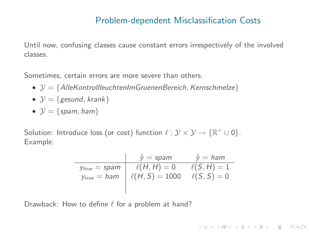### Problem-dependent Misclassification Costs

Until now, confusing classes cause constant errors irrespectively of the involved classes.

Sometimes, certain errors are more severe than others.

- $\mathcal{Y} = \{$  AlleKontrollleuchtenImGruenenBereich, Kernschmelze $\}$
- $\mathcal{Y} = \{$  gesund, krank $\}$
- $\mathcal{Y} = \{spam, ham\}$

Solution: Introduce loss (or cost) function  $\ell : \mathcal{Y} \times \mathcal{Y} \rightarrow \{ \mathbb{R}^+ \cup 0 \}.$ Example:

$$
\hat{y} = \text{spam} \qquad \hat{y} = \text{ham}
$$
\n
$$
\text{y}_{\text{true}} = \text{spam} \qquad \ell(H, H) = 0 \qquad \ell(S, H) = 1
$$
\n
$$
\text{y}_{\text{true}} = \text{ham} \qquad \ell(H, S) = 1000 \qquad \ell(S, S) = 0
$$

**A DIA K FRANCIS E L'ARCHEST EN SOLO** 

<span id="page-9-0"></span>Drawback: How to define  $\ell$  for a problem at hand?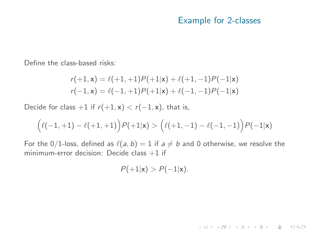#### Example for 2-classes

K ロ > K 레 > K 코 > K 코 > 트로드 > O Q O

Define the class-based risks:

$$
r(+1, x) = \ell(+1, +1)P(+1|x) + \ell(+1, -1)P(-1|x)
$$
  

$$
r(-1, x) = \ell(-1, +1)P(+1|x) + \ell(-1, -1)P(-1|x)
$$

Decide for class +1 if  $r(+1, x) < r(-1, x)$ , that is,

$$
\Big(\ell(-1,+1)-\ell(+1,+1)\Big)P(+1|{\bf x})>\Big(\ell(+1,-1)-\ell(-1,-1)\Big)P(-1|{\bf x})
$$

For the 0/1-loss, defined as  $\ell(a, b) = 1$  if  $a \neq b$  and 0 otherwise, we resolve the minimum-error decision: Decide class  $+1$  if

$$
P(+1|\mathbf{x}) > P(-1|\mathbf{x}).
$$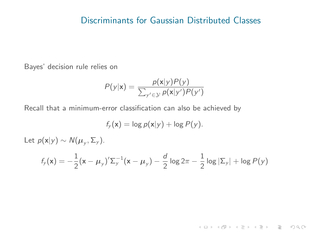#### Discriminants for Gaussian Distributed Classes

Bayes' decision rule relies on

$$
P(y|\mathbf{x}) = \frac{p(\mathbf{x}|y)P(y)}{\sum_{y' \in \mathcal{Y}} p(\mathbf{x}|y')P(y')}
$$

Recall that a minimum-error classification can also be achieved by

$$
f_{y}(\mathbf{x}) = \log p(\mathbf{x}|y) + \log P(y).
$$

Let  $p(\mathsf{x}|y) \sim \mathcal{N}(\boldsymbol{\mu}_y, \boldsymbol{\Sigma}_y)$ .

<span id="page-11-0"></span>
$$
f_{y}(\mathbf{x}) = -\frac{1}{2}(\mathbf{x} - \mu_{y})' \Sigma_{y}^{-1}(\mathbf{x} - \mu_{y}) - \frac{d}{2} \log 2\pi - \frac{1}{2} \log |\Sigma_{y}| + \log P(y)
$$

 $A \equiv \begin{pmatrix} 1 & 0 & 0 \\ 0 & 0 & 0 \\ 0 & 0 & 0 \\ 0 & 0 & 0 \\ 0 & 0 & 0 \\ 0 & 0 & 0 \\ 0 & 0 & 0 \\ 0 & 0 & 0 \\ 0 & 0 & 0 \\ 0 & 0 & 0 \\ 0 & 0 & 0 \\ 0 & 0 & 0 \\ 0 & 0 & 0 \\ 0 & 0 & 0 \\ 0 & 0 & 0 & 0 \\ 0 & 0 & 0 & 0 \\ 0 & 0 & 0 & 0 \\ 0 & 0 & 0 & 0 & 0 \\ 0 & 0 & 0 & 0 & 0 \\ 0 & 0 & 0 & 0 & 0 \\ 0 &$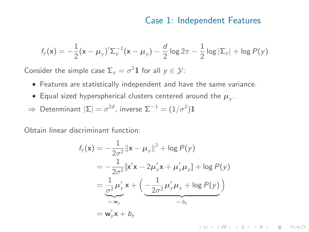### Case 1: Independent Features

$$
f_{y}(\mathbf{x}) = -\frac{1}{2}(\mathbf{x} - \mu_{y})' \Sigma_{y}^{-1}(\mathbf{x} - \mu_{y}) - \frac{d}{2} \log 2\pi - \frac{1}{2} \log |\Sigma_{y}| + \log P(y)
$$

Consider the simple case  $\Sigma_y = \sigma^2 \mathbf{1}$  for all  $y \in \mathcal{Y}$ :

- Features are statistically independent and have the same variance.
- $\bullet\,$  Equal sized hyperspherical clusters centered around the  $\mu_{y}.$
- $\Rightarrow$  Determinant  $|\Sigma| = \sigma^{2d}$ , inverse  $\Sigma^{-1} = (1/\sigma^2) \mathbf{1}$

Obtain linear discriminant function:

$$
f_y(\mathbf{x}) = -\frac{1}{2\sigma^2} ||\mathbf{x} - \mu_y||^2 + \log P(y)
$$
  
=  $-\frac{1}{2\sigma^2} [\mathbf{x}'\mathbf{x} - 2\mu'_y\mathbf{x} + \mu'_y\mu_y] + \log P(y)$   
=  $\frac{1}{\sigma^2} \mu'_y \mathbf{x} + \left( \underbrace{-\frac{1}{2\sigma^2} \mu'_y\mu_y + \log P(y)}_{=:b_y} \right)$   
=  $\mathbf{w}'_y \mathbf{x} + b_y$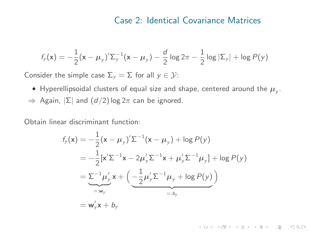#### Case 2: Identical Covariance Matrices

$$
f_{y}(\mathbf{x}) = -\frac{1}{2}(\mathbf{x} - \mu_{y})' \Sigma_{y}^{-1}(\mathbf{x} - \mu_{y}) - \frac{d}{2} \log 2\pi - \frac{1}{2} \log |\Sigma_{y}| + \log P(y)
$$

Consider the simple case  $\Sigma_y = \Sigma$  for all  $y \in \mathcal{Y}$ :

 $\bullet\,$  Hyperellipsoidal clusters of equal size and shape, centered around the  $\mu_{_{\mathcal Y}}.$  $\Rightarrow$  Again,  $|\Sigma|$  and  $(d/2)$  log  $2\pi$  can be ignored.

Obtain linear discriminant function:

$$
f_y(\mathbf{x}) = -\frac{1}{2}(\mathbf{x} - \mu_y)' \Sigma^{-1}(\mathbf{x} - \mu_y) + \log P(y)
$$
  
=  $-\frac{1}{2}[\mathbf{x}'\Sigma^{-1}\mathbf{x} - 2\mu_y'\Sigma^{-1}\mathbf{x} + \mu_y'\Sigma^{-1}\mu_y] + \log P(y)$   
=  $\underbrace{\Sigma^{-1}\mu_y'}_{=:w_y} \mathbf{x} + \left(\underbrace{-\frac{1}{2}\mu_y'\Sigma^{-1}\mu_y + \log P(y)}_{=:b_y}\right)$   
=  $\mathbf{w}_y'\mathbf{x} + b_y$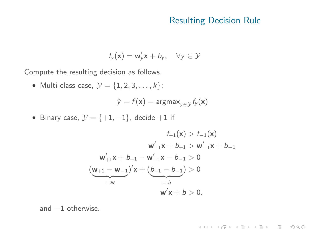### Resulting Decision Rule

 $A \equiv \begin{pmatrix} 1 & 0 & 0 \\ 0 & 0 & 0 \\ 0 & 0 & 0 \\ 0 & 0 & 0 \\ 0 & 0 & 0 \\ 0 & 0 & 0 \\ 0 & 0 & 0 \\ 0 & 0 & 0 \\ 0 & 0 & 0 \\ 0 & 0 & 0 \\ 0 & 0 & 0 \\ 0 & 0 & 0 \\ 0 & 0 & 0 \\ 0 & 0 & 0 \\ 0 & 0 & 0 & 0 \\ 0 & 0 & 0 & 0 \\ 0 & 0 & 0 & 0 \\ 0 & 0 & 0 & 0 & 0 \\ 0 & 0 & 0 & 0 & 0 \\ 0 & 0 & 0 & 0 & 0 \\ 0 &$ 

$$
f_{y}(\mathbf{x}) = \mathbf{w}_{y}'\mathbf{x} + b_{y}, \quad \forall y \in \mathcal{Y}
$$

Compute the resulting decision as follows.

• Multi-class case,  $\mathcal{Y} = \{1, 2, 3, \ldots, k\}$ :

$$
\hat{y} = f(\mathbf{x}) = \text{argmax}_{y \in \mathcal{Y}} f_{y}(\mathbf{x})
$$

• Binary case,  $\mathcal{Y} = \{+1, -1\}$ , decide  $+1$  if

$$
f_{+1}(\mathbf{x}) > f_{-1}(\mathbf{x})
$$
  
\n
$$
\mathbf{w}'_{+1}\mathbf{x} + b_{+1} > \mathbf{w}'_{-1}\mathbf{x} + b_{-1}
$$
  
\n
$$
\mathbf{w}'_{+1}\mathbf{x} + b_{+1} - \mathbf{w}'_{-1}\mathbf{x} - b_{-1} > 0
$$
  
\n
$$
(\underbrace{\mathbf{w}_{+1} - \mathbf{w}_{-1}}_{=:w})' \mathbf{x} + (\underbrace{b_{+1} - b_{-1}}_{=:b}) > 0
$$
  
\n
$$
\underbrace{\mathbf{w}'\mathbf{x} + b > 0}_{=:b},
$$

and −1 otherwise.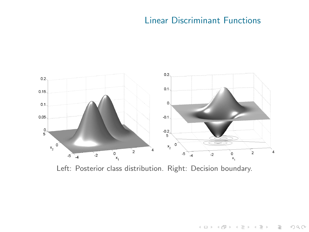# Linear Discriminant Functions

イロト イ団ト イミト イミト ニミー りんぺ



Left: Posterior class distribution. Right: Decision boundary.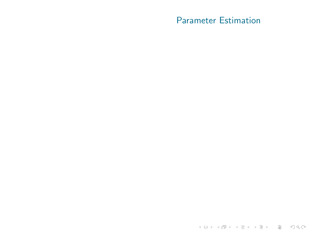## Parameter Estimation

<span id="page-16-0"></span>K ロ > K 레 > K 로 > K 로 > 트로 - 9 Q Q +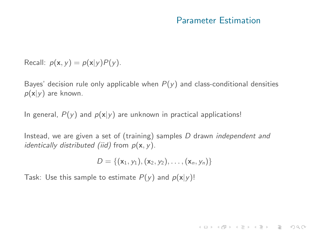#### Parameter Estimation

Recall:  $p(\mathbf{x}, y) = p(\mathbf{x}|y)P(y)$ .

Bayes' decision rule only applicable when  $P(y)$  and class-conditional densities  $p(x|y)$  are known.

In general,  $P(y)$  and  $p(x|y)$  are unknown in practical applications!

Instead, we are given a set of (training) samples D drawn independent and identically distributed (iid) from  $p(x, y)$ .

$$
D = \{(\mathbf{x}_1, y_1), (\mathbf{x}_2, y_2), \ldots, (\mathbf{x}_n, y_n)\}
$$

Task: Use this sample to estimate  $P(y)$  and  $p(x|y)$ !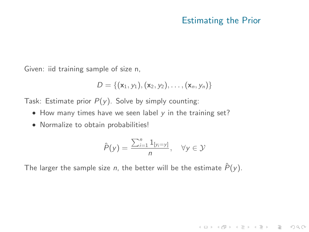### Estimating the Prior

(ロ) (@) (홍) (홍) · 홍 · 940

Given: iid training sample of size n,

$$
D = \{(\mathbf{x}_1, y_1), (\mathbf{x}_2, y_2), \ldots, (\mathbf{x}_n, y_n)\}
$$

Task: Estimate prior  $P(y)$ . Solve by simply counting:

- $\bullet$  How many times have we seen label  $y$  in the training set?
- Normalize to obtain probabilities!

$$
\hat{P}(y) = \frac{\sum_{i=1}^{n} 1_{[y_i=y]}}{n}, \quad \forall y \in \mathcal{Y}
$$

The larger the sample size *n*, the better will be the estimate  $\hat{P}(y)$ .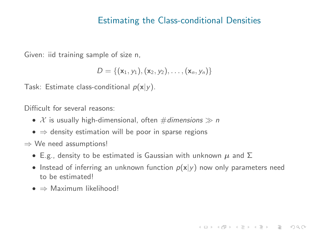#### Estimating the Class-conditional Densities

Given: iid training sample of size n,

$$
D = \{(\mathbf{x}_1, y_1), (\mathbf{x}_2, y_2), \ldots, (\mathbf{x}_n, y_n)\}
$$

Task: Estimate class-conditional  $p(x|y)$ .

Difficult for several reasons:

- $X$  is usually high-dimensional, often #dimensions  $\gg n$
- $\bullet \Rightarrow$  density estimation will be poor in sparse regions
- $\Rightarrow$  We need assumptions!
	- E.g., density to be estimated is Gaussian with unknown  $\mu$  and  $\Sigma$
	- Instead of inferring an unknown function  $p(x|y)$  now only parameters need to be estimated!

K ロ X 〈 日 X 〈 ミ X 〈 ミ X 〉 ミ → ◇ Q 〈 ◇

 $\bullet \Rightarrow$  Maximum likelihood!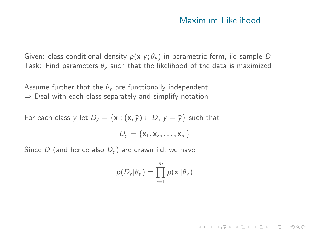### Maximum Likelihood

K ロ X 〈 日 X 〈 ミ X 〈 ミ X 〉 ミ → ◇ Q 〈 ◇

Given: class-conditional density  $p(x|y; \theta_y)$  in parametric form, iid sample D Task: Find parameters  $\theta_{y}$  such that the likelihood of the data is maximized

Assume further that the  $\theta_{v}$  are functionally independent  $\Rightarrow$  Deal with each class separately and simplify notation

For each class y let  $D_v = \{x : (x, \bar{y}) \in D, y = \bar{y}\}\$  such that

$$
D_{y} = \{\mathbf{x}_1, \mathbf{x}_2, \dots, \mathbf{x}_m\}
$$

<span id="page-20-0"></span>Since D (and hence also  $D_v$ ) are drawn iid, we have

$$
p(D_y|\theta_y) = \prod_{i=1}^m p(\mathbf{x}_i|\theta_y)
$$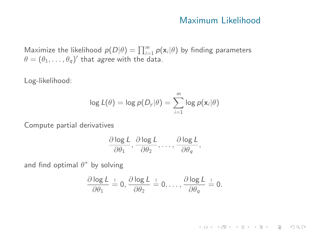#### Maximum Likelihood

Maximize the likelihood  $p(D|\theta) = \prod_{i=1}^{m} p(\mathbf{x}_i|\theta)$  by finding parameters  $\theta = (\theta_1, \ldots, \theta_q)'$  that *agree* with the data.

Log-likelihood:

$$
\log L(\theta) = \log p(D_{y}|\theta) = \sum_{i=1}^{m} \log p(\mathbf{x}_{i}|\theta)
$$

Compute partial derivatives

$$
\frac{\partial \log L}{\partial \theta_1}, \frac{\partial \log L}{\partial \theta_2}, \ldots, \frac{\partial \log L}{\partial \theta_q},
$$

and find optimal  $\theta^*$  by solving

$$
\frac{\partial \log L}{\partial \theta_1} \stackrel{!}{=} 0, \frac{\partial \log L}{\partial \theta_2} \stackrel{!}{=} 0, \ldots, \frac{\partial \log L}{\partial \theta_q} \stackrel{!}{=} 0.
$$

K ロ > K 레 > K 코 > K 코 > 트로드 > O Q O